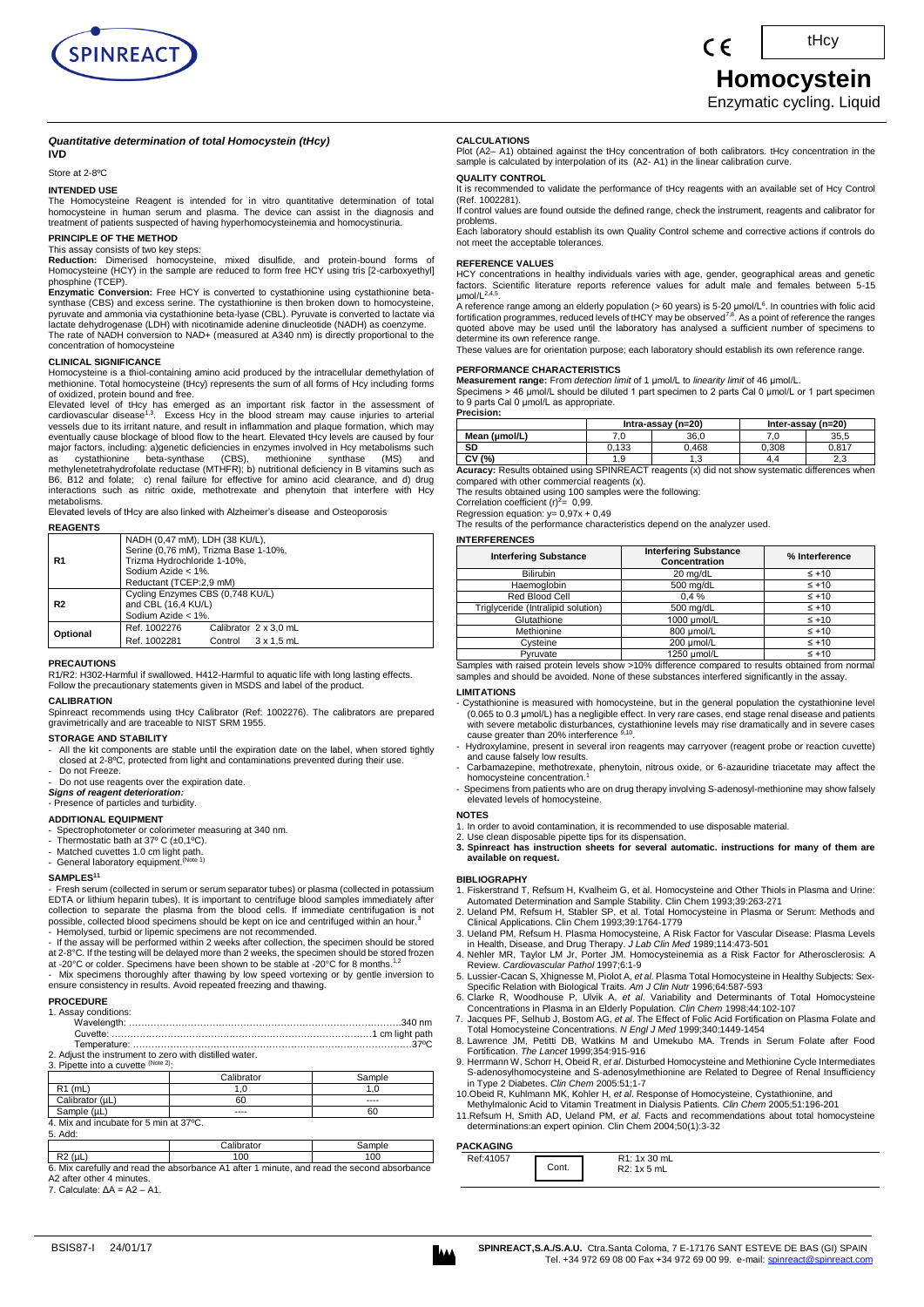

# $\epsilon$

# **Homocystein**

tHcy

Enzymatic cycling. Liquid

#### *Quantitative determination of total Homocystein (tHcy)*

### **IVD**

Store at 2-8ºC

#### **INTENDED USE**

The Homocysteine Reagent is intended for in vitro quantitative determination of total homocysteine in human serum and plasma. The device can assist in the diagnosis and treatment of patients suspected of having hyperhomocysteinemia and homocystinuria.

#### **PRINCIPLE OF THE METHOD**

This assay consists of two key steps:

**Reduction:** Dimerised homocysteine, mixed disulfide, and protein-bound forms of Homocysteine (HCY) in the sample are reduced to form free HCY using tris [2-carboxyethyl] phosphine (TCEP).<br>**Enzymatic Conversion:** Free HCY is converted to cystathionine using cystathionine beta-

synthase (CBS) and excess serine. The cystathionine is then broken down to homocysteine,<br>pyruvate and ammonia via cystathionine beta-lyase (CBL). Pyruvate is converted to lactate via lactate dehydrogenase (LDH) with nicotinamide adenine dinucleotide (NADH) as coenzyme. The rate of NADH conversion to NAD+ (measured at A340 nm) is directly proportional to the concentration of homocysteine

#### **CLINICAL SIGNIFICANCE**

Homocysteine is a thiol-containing amino acid produced by the intracellular demethylation of methionine. Total homocysteine (tHcy) represents the sum of all forms of Hcy including forms

of oxidized, protein bound and free.<br>Elevated level of tHcy has emerged as an important risk factor in the assessment of<br>cardiovascular disease <sup>1,3</sup>. Excess Hcy in the blood stream may cause injuries to arterial<br>vessels d major factors, including: a)genetic deficiencies in enzymes involved in Hcy metabolisms such<br>as cystathionine beta-synthase (CBS), methionine synthase (MS) and<br>methyleneterahydrofolate reductase (MTHFR); b) nutritional def

metabolisms.

Elevated levels of tHcy are also linked with Alzheimer's disease and Osteoporosis. **REAGENTS** 

|                | NADH (0,47 mM), LDH (38 KU/L),<br>Serine (0,76 mM), Trizma Base 1-10%, |  |  |
|----------------|------------------------------------------------------------------------|--|--|
| R1             | Trizma Hydrochloride 1-10%,                                            |  |  |
|                | Sodium Azide $<$ 1%.                                                   |  |  |
|                | Reductant (TCEP:2,9 mM)                                                |  |  |
|                | Cycling Enzymes CBS (0,748 KU/L)                                       |  |  |
| R <sub>2</sub> | and CBL (16,4 KU/L)                                                    |  |  |
|                | Sodium Azide < 1%.                                                     |  |  |
| Optional       | Ref. 1002276<br>Calibrator 2 x 3.0 mL                                  |  |  |
|                | Ref. 1002281<br>Control<br>$3 \times 1.5$ mL                           |  |  |
|                |                                                                        |  |  |

# **PRECAUTIONS**

R1/R2: H302-Harmful if swallowed. H412-Harmful to aquatic life with long lasting effects. Follow the precautionary statements given in MSDS and label of the product.

**CALIBRATION***P*

Spinreact recommends using tHcy Calibrator (Ref: 1002276). The calibrators are prepared gravimetrically and are traceable to NIST SRM 1955.

#### **STORAGE AND STABILITY**

- All the kit components are stable until the expiration date on the label, when stored tightly closed at 2-8ºC, protected from light and contaminations prevented during their use.
- Do not Freeze. Do not use reagents over the expiration date.

*Signs of reagent deterioration:*

#### - Presence of particles and turbidity.

#### **ADDITIONAL EQUIPMENT**

- Spectrophotometer or colorimeter measuring at 340 nm. Thermostatic bath at 37º C (±0,1ºC).
- 
- Matched cuvettes 1.0 cm light path.<br>- General laboratory equipment.<sup>(Note 1)</sup>
- 

#### **SAMPLES<sup>11</sup>**

- Fresh serum (collected in serum or serum separator tubes) or plasma (collected in potassium EDTA or lithium heparin tubes). It is important to centrifuge blood samples immediately after collection to separate the plasma from the blood cells. If immediate centrifugation is not possible, collected blood specimens should be kept on ice and centrifuged within an hour.<sup>3</sup> - Hemolysed, turbid or lipemic specimens are not recommended.
- If the assay will be performed within 2 weeks after collection, the specimen should be stored
- at 2-8°C. If the testing will be delayed more than 2 weeks, the specimen should be stored frozen<br>at -20°C or colder. Specimens have been shown to be stable at -20°C for 8 months.<sup>1,2</sup>
- Mix specimens thoroughly after thawing by low speed vortexing or by gentle inversion to ensure consistency in results. Avoid repeated freezing and thawing.

#### **PROCEDURE**

|  | 1. Assay conditions: |
|--|----------------------|
|--|----------------------|

- Wavelength: …………………………………………………………………………….340 nm
- Cuvette: …………………………………………………………………………1 cm light path

Temperature: ………………………………………………………………………………37ºC 2. Adjust the instrument to zero with distilled water.

3. Pipette into a cuvette (Note Calibrator Sample R1 (mL) 1,0 1,0 1,0

| <b>NI UILILI</b>                       |      |      |
|----------------------------------------|------|------|
| Calibrator (uL)                        | 60   | ---- |
| Sample (uL)                            | ---- | 60   |
| 4. Mix and incubate for 5 min at 37°C. |      |      |
| 5. Add:                                |      |      |

R2 (µL) 100 100 100 6. Mix carefully and read the absorbance A1 after 1 minute, and read the second absorbance A2 after other 4 minutes.

Calibrator | Sampl

7. Calculate:  $\Delta A = A2 - A1$ .

#### **CALCULATIONS**

Plot (A2– A1) obtained against the tHcy concentration of both calibrators. tHcy concentration in the sample is calculated by interpolation of its (A2- A1) in the linear calibration curve.

## **QUALITY CONTROL**

It is recommended to validate the performance of tHcy reagents with an available set of Hcy Control (Ref. 1002281). If control values are found outside the defined range, check the instrument, reagents and calibrator for

problems. Each laboratory should establish its own Quality Control scheme and corrective actions if controls do not meet the acceptable tolerances.

#### **REFERENCE VALUES**

HCY concentrations in healthy individuals varies with age, gender, geographical areas and genetic factors. Scientific literature reports reference values for adult male and females between 5-15 μmol/L 2,4,5

μmol/L<sup>∠n.o</sup>.<br>A reference range among an elderly population (> 60 years) is 5-20 μmol/L<sup>6</sup>. In countries with folic acid<br>fortification programmes, reduced levels of tHCY may be observed<sup>7,8</sup>. As a point of reference the r quoted above may be used until the laboratory has analysed a sufficient number of specimens to determine its own reference range.

These values are for orientation purpose; each laboratory should establish its own reference range.

# **PERFORMANCE CHARACTERISTICS**

**Measurement range:** From *detection limit* of 1 μmol/L to *linearity limit* of 46 μmol/L. Specimens > 46 μmol/L should be diluted 1 part specimen to 2 parts Cal 0 μmol/L or 1 part specimen to 9 parts Cal 0 μmol/L as appropriate.

#### **Precision:**

**Acuracy:** Results obtained using SPINREACT reagents (x) did not show systematic differences when **Acuracy:** Results obtained using SPINREACT reagents (x) did not show systematic differences when **Intra-assay (n=20) Inter-assay (n=20) Mean (µmol/L)** 7,0<br> **SD** 0.133 0.468 0.308 0.817<br> **SD** 0.133 0.468 0.308 0.817 **SD 10,133 0,468 0,308 0,817** 

compared with other commercial reagents (x).

The results obtained using 100 samples were the following:<br>Correlation coefficient (r)<sup>2</sup>= 0,99.<br>Regression equation: y= 0,97x + 0,49<br>The results of the performance characteristics depend on the analyzer used.

#### **INTERFERENCES**

| <b>Interfering Substance</b>       | <b>Interfering Substance</b><br>Concentration | % Interference |
|------------------------------------|-----------------------------------------------|----------------|
| <b>Bilirubin</b>                   | 20 mg/dL                                      | $\leq$ +10     |
| Haemoglobin                        | 500 mg/dL                                     | $\leq +10$     |
| Red Blood Cell                     | 0.4%                                          | $\leq$ +10     |
| Triglyceride (Intralipid solution) | 500 mg/dL                                     | $\leq$ +10     |
| Glutathione                        | 1000 µmol/L                                   | $\leq$ +10     |
| Methionine                         | 800 µmol/L                                    | $\leq$ +10     |
| Cvsteine                           | 200 µmol/L                                    | $\leq$ +10     |
| Pvruvate                           | 1250 umol/L                                   | $\leq +10$     |

L<br>Samples with raised protein levels show >10% difference compared to results obtained from normal<br>Samples and should be avoided. None of these substances interfered significantly in the assay.

#### **LIMITATIONS**

- Cystathionine is measured with homocysteine, but in the general population the cystathionine level (0.065 to 0.3 μmol/L) has a negligible effect. In very rare cases, end stage renal disease and patients with severe metabolic disturbances, cystathionine levels may rise dramatically and in severe cases<br>cause greater than 20% interference <sup>9,10</sup>.

- Hydroxylamine, present in several iron reagents may carryover (reagent probe or reaction cuvette) and cause falsely low results.
- Carbamazepine, methotrexate, phenytoin, nitrous oxide, or 6-azauridine triacetate may affect the homocysteine concentration.
- Specimens from patients who are on drug therapy involving S-adenosyl-methionine may show falsely elevated levels of homocysteine.
- **NOTES**
- 
- 1. In order to avoid contamination, it is recommended to use disposable material. 2. Use clean disposable pipette tips for its dispensation.
- **3. Spinreact has instruction sheets for several automatic. instructions for many of them are available on request.**

#### **BIBLIOGRAPHY**

- 1. Fiskerstrand T, Refsum H, Kvalheim G, et al. Homocysteine and Other Thiols in Plasma and Urine:
- Automated Determination and Sample Stability. Clin Chem 1993;39:263-271 2. Ueland PM, Refsum H, Stabler SP, et al. Total Homocysteine in Plasma or Serum: Methods and
- Clinical Applications. Clin Chem 1993;39:1764-1779 3. Ueland PM, Refsum H. Plasma Homocysteine, A Risk Factor for Vascular Disease: Plasma Levels in Health, Disease, and Drug Therapy. *J Lab Clin Med* 1989;114:473-501 4. Nehler MR, Taylor LM Jr, Porter JM. Homocysteinemia as a Risk Factor for Atherosclerosis: A
- Review. *Cardiovascular Pathol* 1997;6:1-9 5. Lussier-Cacan S, Xhignesse M, Piolot A, *et al.* Plasma Total Homocysteine in Healthy Subjects: Sex-
- 
- Specific Relation with Biological Traits. Am J Clin Nutr 1996;64:587-593<br>6. Clarke R, Woodhouse P, Ulvik A, et al. Variability and Determinants of Total Homocysteine<br>Concentrations in Plasma in an Elderly Population. Clin
- Total Homocysteine Concentrations. *N Engl J Med* 1999;340:1449-1454<br>8. Lawrence JM, Petitti DB, Watkins M and Umekubo MA. Trends in Serum Folate after Food<br>Fortification. The Lancet 1999;354:915-916
- 
- 9. Herrmann W, Schorr H, Obeid R, *et al*. Disturbed Homocysteine and Methionine Cycle Intermediates S-adenosylhomocysteine and S-adenosylmethionine are Related to Degree of Renal Insufficiency in Type 2 Diabetes. *Clin Chem* 2005:51;1-7 10.Obeid R, Kuhlmann MK, Kohler H, *et al*. Response of Homocysteine, Cystathionine, and
- 
- Methylmalonic Acid to Vitamin Treatment in Dialysis Patients. *Clin Chem* 2005;51:196-201 11.Refsum H, Smith AD, Ueland PM, *et al.* Facts and recommendations about total homocysteine determinations:an expert opinion. Clin Chem 2004;50(1):3-32

## **PACKAGING**

| <b><u>AVIVAUITU</u></b> |       |                             |  |
|-------------------------|-------|-----------------------------|--|
| Ref:41057               | Cont. | R1: 1x 30 mL<br>R2: 1x 5 mL |  |